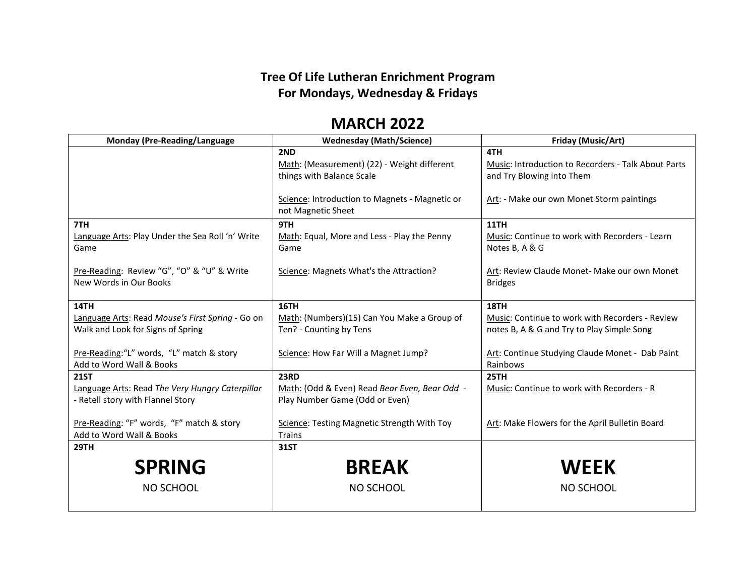## **Tree Of Life Lutheran Enrichment Program For Mondays, Wednesday & Fridays**

## **MARCH 2022**

| <b>Monday (Pre-Reading/Language</b>                                                  | <b>Wednesday (Math/Science)</b>                                                 | Friday (Music/Art)                                                               |
|--------------------------------------------------------------------------------------|---------------------------------------------------------------------------------|----------------------------------------------------------------------------------|
|                                                                                      | 2ND                                                                             | 4TH                                                                              |
|                                                                                      | Math: (Measurement) (22) - Weight different<br>things with Balance Scale        | Music: Introduction to Recorders - Talk About Parts<br>and Try Blowing into Them |
|                                                                                      | Science: Introduction to Magnets - Magnetic or<br>not Magnetic Sheet            | Art: - Make our own Monet Storm paintings                                        |
| 7TH                                                                                  | 9TH                                                                             | <b>11TH</b>                                                                      |
| <b>Language Arts: Play Under the Sea Roll 'n' Write</b><br>Game                      | Math: Equal, More and Less - Play the Penny<br>Game                             | Music: Continue to work with Recorders - Learn<br>Notes B, A & G                 |
| Pre-Reading: Review "G", "O" & "U" & Write<br>New Words in Our Books                 | Science: Magnets What's the Attraction?                                         | Art: Review Claude Monet- Make our own Monet<br><b>Bridges</b>                   |
| 14TH                                                                                 | 16TH                                                                            | <b>18TH</b>                                                                      |
| Language Arts: Read Mouse's First Spring - Go on                                     | Math: (Numbers)(15) Can You Make a Group of                                     | Music: Continue to work with Recorders - Review                                  |
| Walk and Look for Signs of Spring                                                    | Ten? - Counting by Tens                                                         | notes B, A & G and Try to Play Simple Song                                       |
| Pre-Reading:"L" words, "L" match & story<br>Add to Word Wall & Books                 | Science: How Far Will a Magnet Jump?                                            | Art: Continue Studying Claude Monet - Dab Paint<br>Rainbows                      |
| <b>21ST</b>                                                                          | <b>23RD</b>                                                                     | <b>25TH</b>                                                                      |
| Language Arts: Read The Very Hungry Caterpillar<br>- Retell story with Flannel Story | Math: (Odd & Even) Read Bear Even, Bear Odd -<br>Play Number Game (Odd or Even) | Music: Continue to work with Recorders - R                                       |
| Pre-Reading: "F" words, "F" match & story<br>Add to Word Wall & Books                | Science: Testing Magnetic Strength With Toy<br><b>Trains</b>                    | Art: Make Flowers for the April Bulletin Board                                   |
| <b>29TH</b>                                                                          | 31ST                                                                            |                                                                                  |
| <b>SPRING</b>                                                                        | <b>BREAK</b>                                                                    | <b>WEEK</b>                                                                      |
| NO SCHOOL                                                                            | <b>NO SCHOOL</b>                                                                | NO SCHOOL                                                                        |